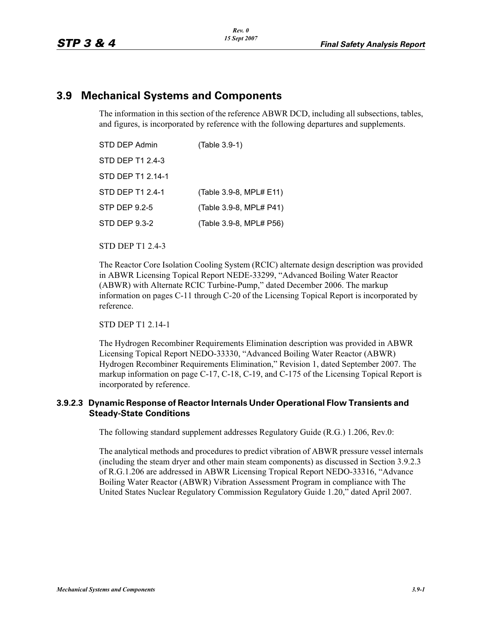# **3.9 Mechanical Systems and Components**

The information in this section of the reference ABWR DCD, including all subsections, tables, and figures, is incorporated by reference with the following departures and supplements.

| STD DEP Admin     | (Table 3.9-1)           |
|-------------------|-------------------------|
| STD DEP T1 2.4-3  |                         |
| STD DEP T1 2.14-1 |                         |
| STD DEP T1 2.4-1  | (Table 3.9-8, MPL# E11) |
| STP DEP 9.2-5     | (Table 3.9-8, MPL# P41) |
| STD DEP 9.3-2     | (Table 3.9-8, MPL# P56) |

STD DEP T1 2.4-3

The Reactor Core Isolation Cooling System (RCIC) alternate design description was provided in ABWR Licensing Topical Report NEDE-33299, "Advanced Boiling Water Reactor (ABWR) with Alternate RCIC Turbine-Pump," dated December 2006. The markup information on pages C-11 through C-20 of the Licensing Topical Report is incorporated by reference.

STD DEP T1 2.14-1

The Hydrogen Recombiner Requirements Elimination description was provided in ABWR Licensing Topical Report NEDO-33330, "Advanced Boiling Water Reactor (ABWR) Hydrogen Recombiner Requirements Elimination," Revision 1, dated September 2007. The markup information on page C-17, C-18, C-19, and C-175 of the Licensing Topical Report is incorporated by reference.

## **3.9.2.3 Dynamic Response of Reactor Internals Under Operational Flow Transients and Steady-State Conditions**

The following standard supplement addresses Regulatory Guide (R.G.) 1.206, Rev.0:

The analytical methods and procedures to predict vibration of ABWR pressure vessel internals (including the steam dryer and other main steam components) as discussed in Section 3.9.2.3 of R.G.1.206 are addressed in ABWR Licensing Tropical Report NEDO-33316, "Advance Boiling Water Reactor (ABWR) Vibration Assessment Program in compliance with The United States Nuclear Regulatory Commission Regulatory Guide 1.20," dated April 2007.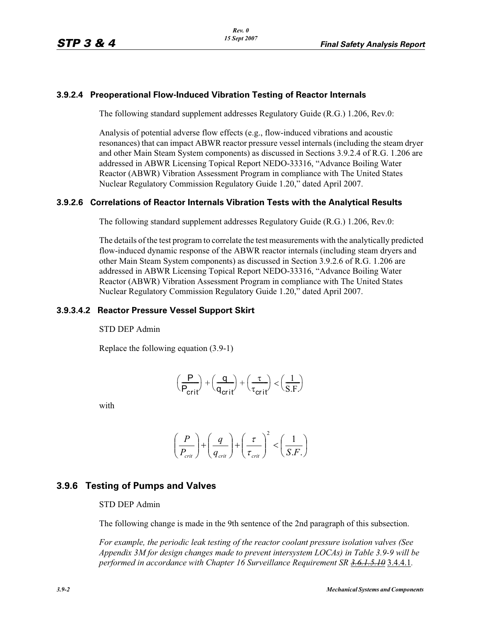### **3.9.2.4 Preoperational Flow-Induced Vibration Testing of Reactor Internals**

The following standard supplement addresses Regulatory Guide (R.G.) 1.206, Rev.0:

Analysis of potential adverse flow effects (e.g., flow-induced vibrations and acoustic resonances) that can impact ABWR reactor pressure vessel internals (including the steam dryer and other Main Steam System components) as discussed in Sections 3.9.2.4 of R.G. 1.206 are addressed in ABWR Licensing Topical Report NEDO-33316, "Advance Boiling Water Reactor (ABWR) Vibration Assessment Program in compliance with The United States Nuclear Regulatory Commission Regulatory Guide 1.20," dated April 2007.

#### **3.9.2.6 Correlations of Reactor Internals Vibration Tests with the Analytical Results**

The following standard supplement addresses Regulatory Guide (R.G.) 1.206, Rev.0:

The details of the test program to correlate the test measurements with the analytically predicted flow-induced dynamic response of the ABWR reactor internals (including steam dryers and other Main Steam System components) as discussed in Section 3.9.2.6 of R.G. 1.206 are addressed in ABWR Licensing Topical Report NEDO-33316, "Advance Boiling Water Reactor (ABWR) Vibration Assessment Program in compliance with The United States Nuclear Regulatory Commission Regulatory Guide 1.20," dated April 2007.

#### **3.9.3.4.2 Reactor Pressure Vessel Support Skirt**

STD DEP Admin

Replace the following equation (3.9-1)

$$
\left(\frac{\mathsf{P}}{\mathsf{P}_{\text{crit}}} \right) + \left(\frac{\mathsf{q}}{\mathsf{q}_{\text{crit}}} \right) + \left(\frac{\tau}{\tau_{\text{crit}}} \right) < \left(\frac{1}{\mathsf{S}.\mathsf{F}} \right)
$$

with

$$
\left(\frac{P}{P_{crit}}\right) + \left(\frac{q}{q_{crit}}\right) + \left(\frac{\tau}{\tau_{crit}}\right)^2 < \left(\frac{1}{S.F}\right)
$$

## **3.9.6 Testing of Pumps and Valves**

STD DEP Admin

The following change is made in the 9th sentence of the 2nd paragraph of this subsection.

*For example, the periodic leak testing of the reactor coolant pressure isolation valves (See Appendix 3M for design changes made to prevent intersystem LOCAs) in Table 3.9-9 will be performed in accordance with Chapter 16 Surveillance Requirement SR 3.6.1.5.10* 3.4.4.1*.*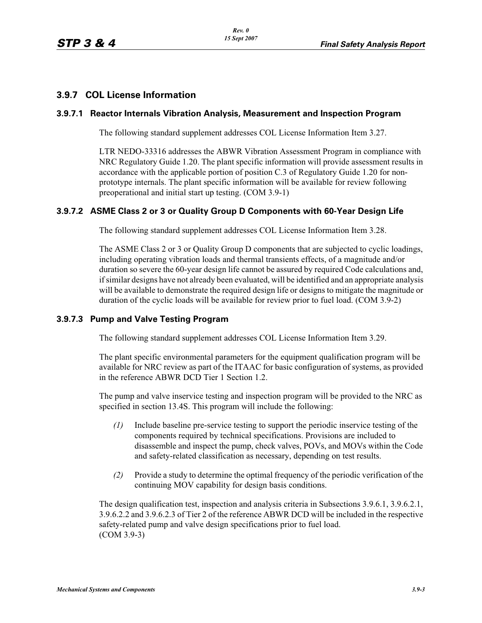## **3.9.7 COL License Information**

## **3.9.7.1 Reactor Internals Vibration Analysis, Measurement and Inspection Program**

The following standard supplement addresses COL License Information Item 3.27.

LTR NEDO-33316 addresses the ABWR Vibration Assessment Program in compliance with NRC Regulatory Guide 1.20. The plant specific information will provide assessment results in accordance with the applicable portion of position C.3 of Regulatory Guide 1.20 for nonprototype internals. The plant specific information will be available for review following preoperational and initial start up testing. (COM 3.9-1)

### **3.9.7.2 ASME Class 2 or 3 or Quality Group D Components with 60-Year Design Life**

The following standard supplement addresses COL License Information Item 3.28.

The ASME Class 2 or 3 or Quality Group D components that are subjected to cyclic loadings, including operating vibration loads and thermal transients effects, of a magnitude and/or duration so severe the 60-year design life cannot be assured by required Code calculations and, if similar designs have not already been evaluated, will be identified and an appropriate analysis will be available to demonstrate the required design life or designs to mitigate the magnitude or duration of the cyclic loads will be available for review prior to fuel load. (COM 3.9-2)

#### **3.9.7.3 Pump and Valve Testing Program**

The following standard supplement addresses COL License Information Item 3.29.

The plant specific environmental parameters for the equipment qualification program will be available for NRC review as part of the ITAAC for basic configuration of systems, as provided in the reference ABWR DCD Tier 1 Section 1.2.

The pump and valve inservice testing and inspection program will be provided to the NRC as specified in section 13.4S. This program will include the following:

- *(1)* Include baseline pre-service testing to support the periodic inservice testing of the components required by technical specifications. Provisions are included to disassemble and inspect the pump, check valves, POVs, and MOVs within the Code and safety-related classification as necessary, depending on test results.
- *(2)* Provide a study to determine the optimal frequency of the periodic verification of the continuing MOV capability for design basis conditions.

The design qualification test, inspection and analysis criteria in Subsections 3.9.6.1, 3.9.6.2.1, 3.9.6.2.2 and 3.9.6.2.3 of Tier 2 of the reference ABWR DCD will be included in the respective safety-related pump and valve design specifications prior to fuel load. (COM 3.9-3)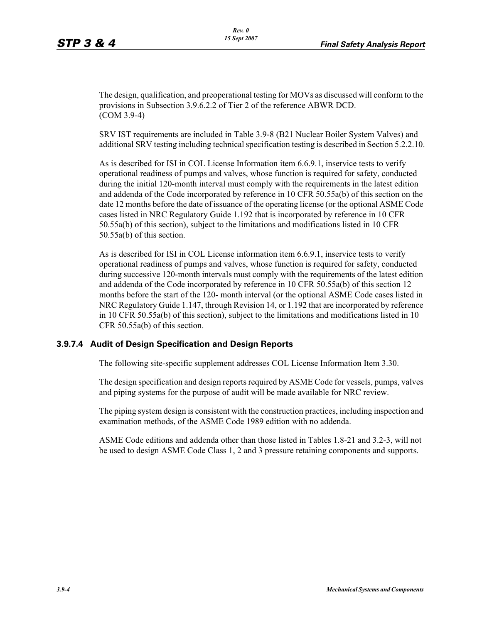The design, qualification, and preoperational testing for MOVs as discussed will conform to the provisions in Subsection 3.9.6.2.2 of Tier 2 of the reference ABWR DCD. (COM 3.9-4)

SRV IST requirements are included in Table 3.9-8 (B21 Nuclear Boiler System Valves) and additional SRV testing including technical specification testing is described in Section 5.2.2.10.

As is described for ISI in COL License Information item 6.6.9.1, inservice tests to verify operational readiness of pumps and valves, whose function is required for safety, conducted during the initial 120-month interval must comply with the requirements in the latest edition and addenda of the Code incorporated by reference in 10 CFR 50.55a(b) of this section on the date 12 months before the date of issuance of the operating license (or the optional ASME Code cases listed in NRC Regulatory Guide 1.192 that is incorporated by reference in 10 CFR 50.55a(b) of this section), subject to the limitations and modifications listed in 10 CFR 50.55a(b) of this section.

As is described for ISI in COL License information item 6.6.9.1, inservice tests to verify operational readiness of pumps and valves, whose function is required for safety, conducted during successive 120-month intervals must comply with the requirements of the latest edition and addenda of the Code incorporated by reference in 10 CFR 50.55a(b) of this section 12 months before the start of the 120- month interval (or the optional ASME Code cases listed in NRC Regulatory Guide 1.147, through Revision 14, or 1.192 that are incorporated by reference in 10 CFR 50.55a(b) of this section), subject to the limitations and modifications listed in 10 CFR 50.55a(b) of this section.

#### **3.9.7.4 Audit of Design Specification and Design Reports**

The following site-specific supplement addresses COL License Information Item 3.30.

The design specification and design reports required by ASME Code for vessels, pumps, valves and piping systems for the purpose of audit will be made available for NRC review.

The piping system design is consistent with the construction practices, including inspection and examination methods, of the ASME Code 1989 edition with no addenda.

ASME Code editions and addenda other than those listed in Tables 1.8-21 and 3.2-3, will not be used to design ASME Code Class 1, 2 and 3 pressure retaining components and supports.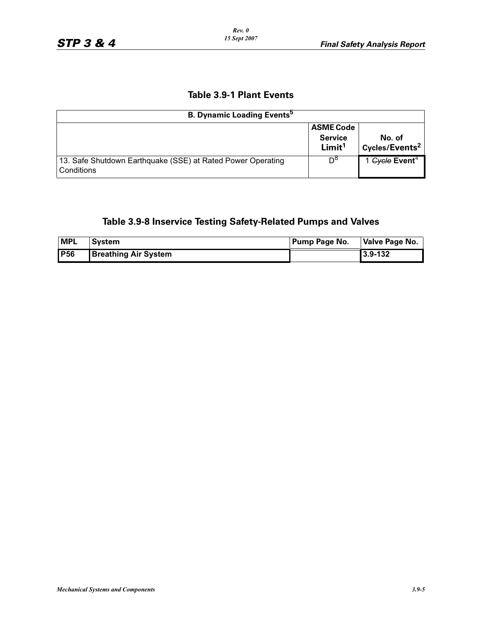# **Table 3.9-1 Plant Events**

| <b>B. Dynamic Loading Events</b> <sup>5</sup>                                    |                                                   |                                       |  |  |
|----------------------------------------------------------------------------------|---------------------------------------------------|---------------------------------------|--|--|
|                                                                                  | <b>ASME Code</b><br>Service<br>Limit <sup>1</sup> | No. of<br>Cycles/Events <sup>2</sup>  |  |  |
| 13. Safe Shutdown Earthquake (SSE) at Rated Power Operating<br><b>Conditions</b> | D <sup>o</sup>                                    | 1 <del>Cycle</del> Event <sup>4</sup> |  |  |

## **Table 3.9-8 Inservice Testing Safety-Related Pumps and Valves**

| <b>MPL</b>  | <b>System</b>               | <b>Pump Page No.</b> | Valve Page No. |
|-------------|-----------------------------|----------------------|----------------|
| <b>IP56</b> | <b>Breathing Air System</b> |                      | 3.9-132        |